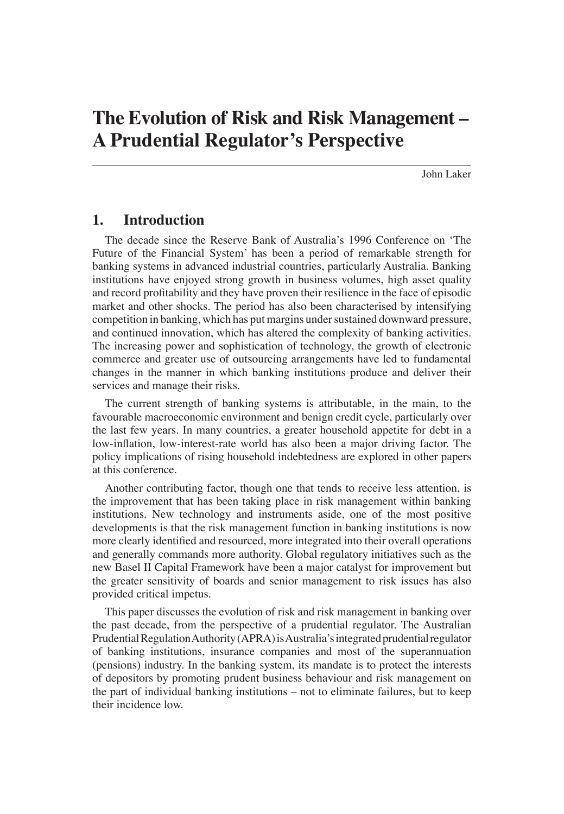John Laker

# **1. Introduction**

The decade since the Reserve Bank of Australia's 1996 Conference on 'The Future of the Financial System' has been a period of remarkable strength for banking systems in advanced industrial countries, particularly Australia. Banking institutions have enjoyed strong growth in business volumes, high asset quality and record profitability and they have proven their resilience in the face of episodic market and other shocks. The period has also been characterised by intensifying competition in banking, which has put margins under sustained downward pressure, and continued innovation, which has altered the complexity of banking activities. The increasing power and sophistication of technology, the growth of electronic commerce and greater use of outsourcing arrangements have led to fundamental changes in the manner in which banking institutions produce and deliver their services and manage their risks.

The current strength of banking systems is attributable, in the main, to the favourable macroeconomic environment and benign credit cycle, particularly over the last few years. In many countries, a greater household appetite for debt in a low-inflation, low-interest-rate world has also been a major driving factor. The policy implications of rising household indebtedness are explored in other papers at this conference.

Another contributing factor, though one that tends to receive less attention, is the improvement that has been taking place in risk management within banking institutions. New technology and instruments aside, one of the most positive developments is that the risk management function in banking institutions is now more clearly identified and resourced, more integrated into their overall operations and generally commands more authority. Global regulatory initiatives such as the new Basel II Capital Framework have been a major catalyst for improvement but the greater sensitivity of boards and senior management to risk issues has also provided critical impetus.

This paper discusses the evolution of risk and risk management in banking over the past decade, from the perspective of a prudential regulator. The Australian Prudential Regulation Authority (APRA) is Australia's integrated prudential regulator of banking institutions, insurance companies and most of the superannuation (pensions) industry. In the banking system, its mandate is to protect the interests of depositors by promoting prudent business behaviour and risk management on the part of individual banking institutions – not to eliminate failures, but to keep their incidence low.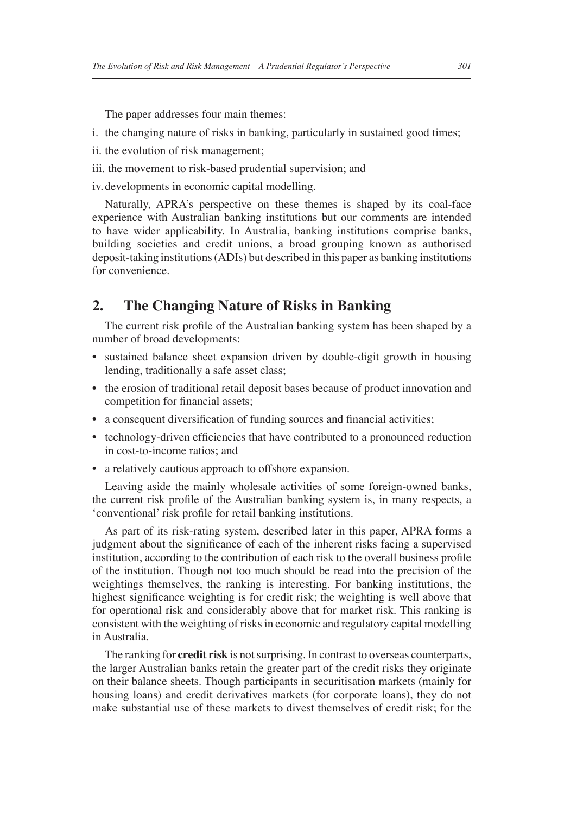The paper addresses four main themes:

- i. the changing nature of risks in banking, particularly in sustained good times;
- ii. the evolution of risk management;
- iii. the movement to risk-based prudential supervision; and

iv. developments in economic capital modelling.

Naturally, APRA's perspective on these themes is shaped by its coal-face experience with Australian banking institutions but our comments are intended to have wider applicability. In Australia, banking institutions comprise banks, building societies and credit unions, a broad grouping known as authorised deposit-taking institutions (ADIs) but described in this paper as banking institutions for convenience.

# **2. The Changing Nature of Risks in Banking**

The current risk profile of the Australian banking system has been shaped by a number of broad developments:

- sustained balance sheet expansion driven by double-digit growth in housing lending, traditionally a safe asset class;
- the erosion of traditional retail deposit bases because of product innovation and competition for financial assets;
- a consequent diversification of funding sources and financial activities;
- technology-driven efficiencies that have contributed to a pronounced reduction in cost-to-income ratios; and
- a relatively cautious approach to offshore expansion.

Leaving aside the mainly wholesale activities of some foreign-owned banks, the current risk profile of the Australian banking system is, in many respects, a 'conventional' risk profile for retail banking institutions.

As part of its risk-rating system, described later in this paper, APRA forms a judgment about the significance of each of the inherent risks facing a supervised institution, according to the contribution of each risk to the overall business profile of the institution. Though not too much should be read into the precision of the weightings themselves, the ranking is interesting. For banking institutions, the highest significance weighting is for credit risk; the weighting is well above that for operational risk and considerably above that for market risk. This ranking is consistent with the weighting of risks in economic and regulatory capital modelling in Australia.

The ranking for **credit risk** is not surprising. In contrast to overseas counterparts, the larger Australian banks retain the greater part of the credit risks they originate on their balance sheets. Though participants in securitisation markets (mainly for housing loans) and credit derivatives markets (for corporate loans), they do not make substantial use of these markets to divest themselves of credit risk; for the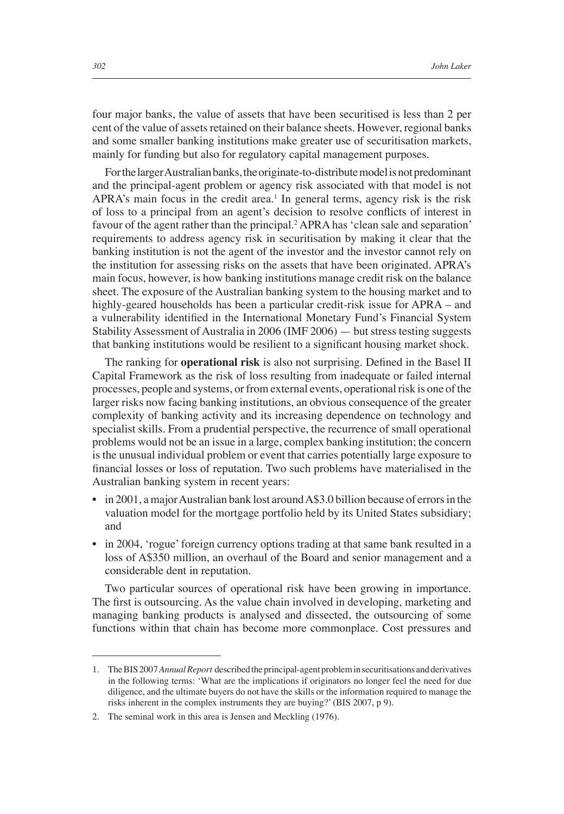four major banks, the value of assets that have been securitised is less than 2 per cent of the value of assets retained on their balance sheets. However, regional banks and some smaller banking institutions make greater use of securitisation markets, mainly for funding but also for regulatory capital management purposes.

For the larger Australian banks, the originate-to-distribute model is not predominant and the principal-agent problem or agency risk associated with that model is not APRA's main focus in the credit area.<sup>1</sup> In general terms, agency risk is the risk of loss to a principal from an agent's decision to resolve conflicts of interest in favour of the agent rather than the principal.<sup>2</sup> APRA has 'clean sale and separation' requirements to address agency risk in securitisation by making it clear that the banking institution is not the agent of the investor and the investor cannot rely on the institution for assessing risks on the assets that have been originated. APRA's main focus, however, is how banking institutions manage credit risk on the balance sheet. The exposure of the Australian banking system to the housing market and to highly-geared households has been a particular credit-risk issue for APRA – and a vulnerability identified in the International Monetary Fund's Financial System Stability Assessment of Australia in 2006 (IMF 2006) — but stress testing suggests that banking institutions would be resilient to a significant housing market shock.

The ranking for **operational risk** is also not surprising. Defined in the Basel II Capital Framework as the risk of loss resulting from inadequate or failed internal processes, people and systems, or from external events, operational risk is one of the larger risks now facing banking institutions, an obvious consequence of the greater complexity of banking activity and its increasing dependence on technology and specialist skills. From a prudential perspective, the recurrence of small operational problems would not be an issue in a large, complex banking institution; the concern is the unusual individual problem or event that carries potentially large exposure to financial losses or loss of reputation. Two such problems have materialised in the Australian banking system in recent years:

- in 2001, a major Australian bank lost around A\$3.0 billion because of errors in the valuation model for the mortgage portfolio held by its United States subsidiary; and
- in 2004, 'rogue' foreign currency options trading at that same bank resulted in a loss of A\$350 million, an overhaul of the Board and senior management and a considerable dent in reputation.

Two particular sources of operational risk have been growing in importance. The first is outsourcing. As the value chain involved in developing, marketing and managing banking products is analysed and dissected, the outsourcing of some functions within that chain has become more commonplace. Cost pressures and

<sup>1.</sup> The BIS 2007 *Annual Report* described the principal-agent problem in securitisations and derivatives in the following terms: 'What are the implications if originators no longer feel the need for due diligence, and the ultimate buyers do not have the skills or the information required to manage the risks inherent in the complex instruments they are buying?' (BIS 2007, p 9).

<sup>2.</sup> The seminal work in this area is Jensen and Meckling (1976).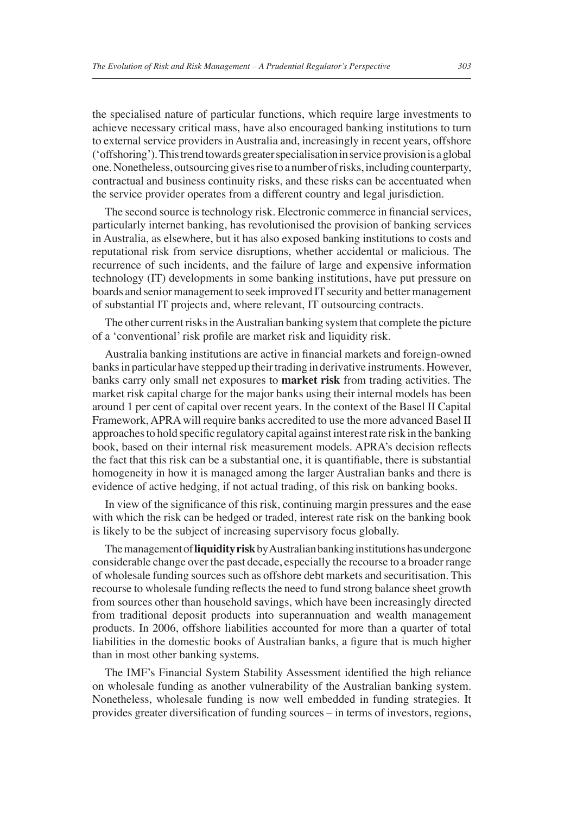the specialised nature of particular functions, which require large investments to achieve necessary critical mass, have also encouraged banking institutions to turn to external service providers in Australia and, increasingly in recent years, offshore ('offshoring'). This trend towards greater specialisation in service provision is a global one. Nonetheless, outsourcing gives rise to a number of risks, including counterparty, contractual and business continuity risks, and these risks can be accentuated when the service provider operates from a different country and legal jurisdiction.

The second source is technology risk. Electronic commerce in financial services, particularly internet banking, has revolutionised the provision of banking services in Australia, as elsewhere, but it has also exposed banking institutions to costs and reputational risk from service disruptions, whether accidental or malicious. The recurrence of such incidents, and the failure of large and expensive information technology (IT) developments in some banking institutions, have put pressure on boards and senior management to seek improved IT security and better management of substantial IT projects and, where relevant, IT outsourcing contracts.

The other current risks in the Australian banking system that complete the picture of a 'conventional' risk profile are market risk and liquidity risk.

Australia banking institutions are active in financial markets and foreign-owned banks in particular have stepped up their trading in derivative instruments. However, banks carry only small net exposures to **market risk** from trading activities. The market risk capital charge for the major banks using their internal models has been around 1 per cent of capital over recent years. In the context of the Basel II Capital Framework, APRA will require banks accredited to use the more advanced Basel II approaches to hold specific regulatory capital against interest rate risk in the banking book, based on their internal risk measurement models. APRA's decision reflects the fact that this risk can be a substantial one, it is quantifiable, there is substantial homogeneity in how it is managed among the larger Australian banks and there is evidence of active hedging, if not actual trading, of this risk on banking books.

In view of the significance of this risk, continuing margin pressures and the ease with which the risk can be hedged or traded, interest rate risk on the banking book is likely to be the subject of increasing supervisory focus globally.

The management of **liquidity risk** by Australian banking institutions has undergone considerable change over the past decade, especially the recourse to a broader range of wholesale funding sources such as offshore debt markets and securitisation. This recourse to wholesale funding reflects the need to fund strong balance sheet growth from sources other than household savings, which have been increasingly directed from traditional deposit products into superannuation and wealth management products. In 2006, offshore liabilities accounted for more than a quarter of total liabilities in the domestic books of Australian banks, a figure that is much higher than in most other banking systems.

The IMF's Financial System Stability Assessment identified the high reliance on wholesale funding as another vulnerability of the Australian banking system. Nonetheless, wholesale funding is now well embedded in funding strategies. It provides greater diversification of funding sources – in terms of investors, regions,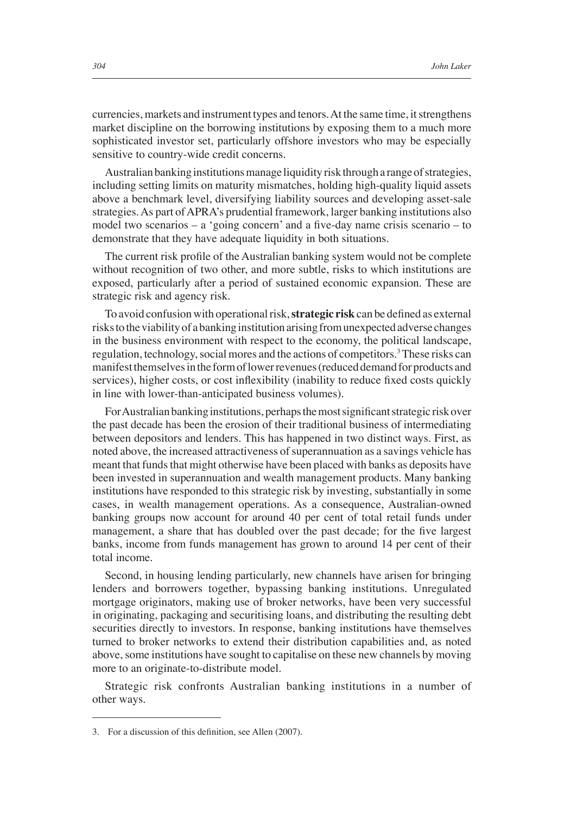currencies, markets and instrument types and tenors. At the same time, it strengthens market discipline on the borrowing institutions by exposing them to a much more sophisticated investor set, particularly offshore investors who may be especially sensitive to country-wide credit concerns.

Australian banking institutions manage liquidity risk through a range of strategies, including setting limits on maturity mismatches, holding high-quality liquid assets above a benchmark level, diversifying liability sources and developing asset-sale strategies. As part of APRA's prudential framework, larger banking institutions also model two scenarios – a 'going concern' and a five-day name crisis scenario – to demonstrate that they have adequate liquidity in both situations.

The current risk profile of the Australian banking system would not be complete without recognition of two other, and more subtle, risks to which institutions are exposed, particularly after a period of sustained economic expansion. These are strategic risk and agency risk.

To avoid confusion with operational risk, **strategic risk** can be defined as external risks to the viability of a banking institution arising from unexpected adverse changes in the business environment with respect to the economy, the political landscape, regulation, technology, social mores and the actions of competitors.<sup>3</sup> These risks can manifest themselves in the form of lower revenues (reduced demand for products and services), higher costs, or cost inflexibility (inability to reduce fixed costs quickly in line with lower-than-anticipated business volumes).

For Australian banking institutions, perhaps the most significant strategic risk over the past decade has been the erosion of their traditional business of intermediating between depositors and lenders. This has happened in two distinct ways. First, as noted above, the increased attractiveness of superannuation as a savings vehicle has meant that funds that might otherwise have been placed with banks as deposits have been invested in superannuation and wealth management products. Many banking institutions have responded to this strategic risk by investing, substantially in some cases, in wealth management operations. As a consequence, Australian-owned banking groups now account for around 40 per cent of total retail funds under management, a share that has doubled over the past decade; for the five largest banks, income from funds management has grown to around 14 per cent of their total income.

Second, in housing lending particularly, new channels have arisen for bringing lenders and borrowers together, bypassing banking institutions. Unregulated mortgage originators, making use of broker networks, have been very successful in originating, packaging and securitising loans, and distributing the resulting debt securities directly to investors. In response, banking institutions have themselves turned to broker networks to extend their distribution capabilities and, as noted above, some institutions have sought to capitalise on these new channels by moving more to an originate-to-distribute model.

Strategic risk confronts Australian banking institutions in a number of other ways.

<sup>3.</sup> For a discussion of this definition, see Allen (2007).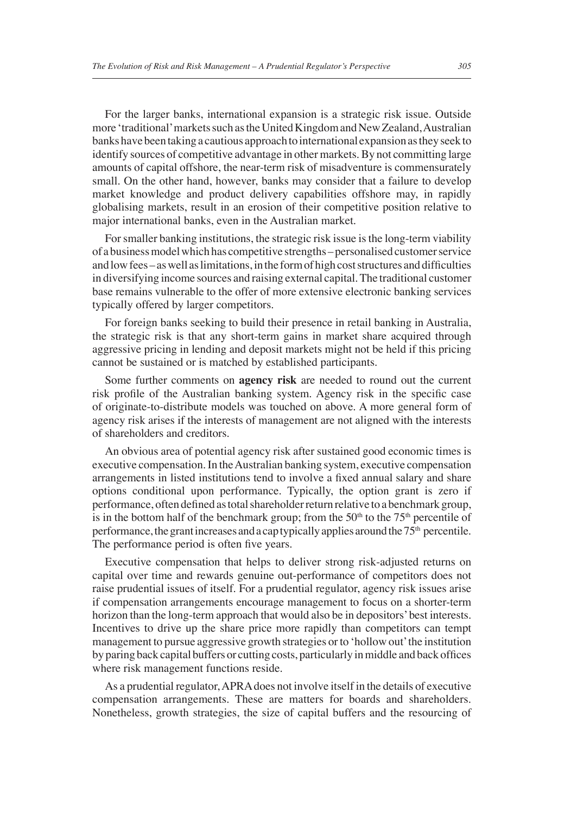For the larger banks, international expansion is a strategic risk issue. Outside more 'traditional' markets such as the United Kingdom and New Zealand, Australian banks have been taking a cautious approach to international expansion as they seek to identify sources of competitive advantage in other markets. By not committing large amounts of capital offshore, the near-term risk of misadventure is commensurately small. On the other hand, however, banks may consider that a failure to develop market knowledge and product delivery capabilities offshore may, in rapidly globalising markets, result in an erosion of their competitive position relative to major international banks, even in the Australian market.

For smaller banking institutions, the strategic risk issue is the long-term viability of a business model which has competitive strengths – personalised customer service and low fees – as well as limitations, in the form of high cost structures and difficulties in diversifying income sources and raising external capital. The traditional customer base remains vulnerable to the offer of more extensive electronic banking services typically offered by larger competitors.

For foreign banks seeking to build their presence in retail banking in Australia, the strategic risk is that any short-term gains in market share acquired through aggressive pricing in lending and deposit markets might not be held if this pricing cannot be sustained or is matched by established participants.

Some further comments on **agency risk** are needed to round out the current risk profile of the Australian banking system. Agency risk in the specific case of originate-to-distribute models was touched on above. A more general form of agency risk arises if the interests of management are not aligned with the interests of shareholders and creditors.

An obvious area of potential agency risk after sustained good economic times is executive compensation. In the Australian banking system, executive compensation arrangements in listed institutions tend to involve a fixed annual salary and share options conditional upon performance. Typically, the option grant is zero if performance, often defined as total shareholder return relative to a benchmark group, is in the bottom half of the benchmark group; from the  $50<sup>th</sup>$  to the  $75<sup>th</sup>$  percentile of performance, the grant increases and a cap typically applies around the  $75<sup>th</sup>$  percentile. The performance period is often five years.

Executive compensation that helps to deliver strong risk-adjusted returns on capital over time and rewards genuine out-performance of competitors does not raise prudential issues of itself. For a prudential regulator, agency risk issues arise if compensation arrangements encourage management to focus on a shorter-term horizon than the long-term approach that would also be in depositors' best interests. Incentives to drive up the share price more rapidly than competitors can tempt management to pursue aggressive growth strategies or to 'hollow out' the institution by paring back capital buffers or cutting costs, particularly in middle and back offices where risk management functions reside.

As a prudential regulator, APRA does not involve itself in the details of executive compensation arrangements. These are matters for boards and shareholders. Nonetheless, growth strategies, the size of capital buffers and the resourcing of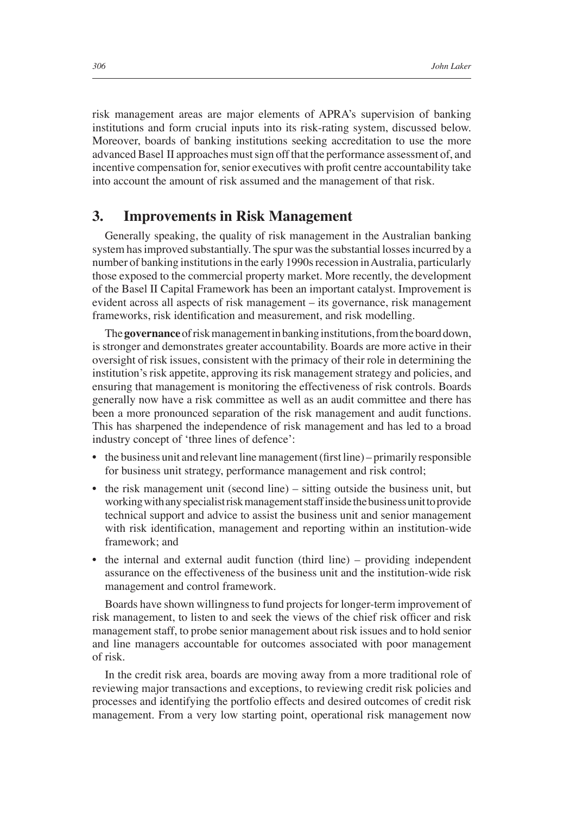risk management areas are major elements of APRA's supervision of banking institutions and form crucial inputs into its risk-rating system, discussed below. Moreover, boards of banking institutions seeking accreditation to use the more advanced Basel II approaches must sign off that the performance assessment of, and incentive compensation for, senior executives with profit centre accountability take into account the amount of risk assumed and the management of that risk.

### **3. Improvements in Risk Management**

Generally speaking, the quality of risk management in the Australian banking system has improved substantially. The spur was the substantial losses incurred by a number of banking institutions in the early 1990s recession in Australia, particularly those exposed to the commercial property market. More recently, the development of the Basel II Capital Framework has been an important catalyst. Improvement is evident across all aspects of risk management – its governance, risk management frameworks, risk identification and measurement, and risk modelling.

The **governance** of risk management in banking institutions, from the board down, is stronger and demonstrates greater accountability. Boards are more active in their oversight of risk issues, consistent with the primacy of their role in determining the institution's risk appetite, approving its risk management strategy and policies, and ensuring that management is monitoring the effectiveness of risk controls. Boards generally now have a risk committee as well as an audit committee and there has been a more pronounced separation of the risk management and audit functions. This has sharpened the independence of risk management and has led to a broad industry concept of 'three lines of defence':

- $\bullet$  the business unit and relevant line management (first line) primarily responsible for business unit strategy, performance management and risk control;
- the risk management unit (second line) sitting outside the business unit, but working with any specialist risk management staff inside the business unit to provide technical support and advice to assist the business unit and senior management with risk identification, management and reporting within an institution-wide framework; and
- the internal and external audit function (third line) providing independent assurance on the effectiveness of the business unit and the institution-wide risk management and control framework.

Boards have shown willingness to fund projects for longer-term improvement of risk management, to listen to and seek the views of the chief risk officer and risk management staff, to probe senior management about risk issues and to hold senior and line managers accountable for outcomes associated with poor management of risk.

In the credit risk area, boards are moving away from a more traditional role of reviewing major transactions and exceptions, to reviewing credit risk policies and processes and identifying the portfolio effects and desired outcomes of credit risk management. From a very low starting point, operational risk management now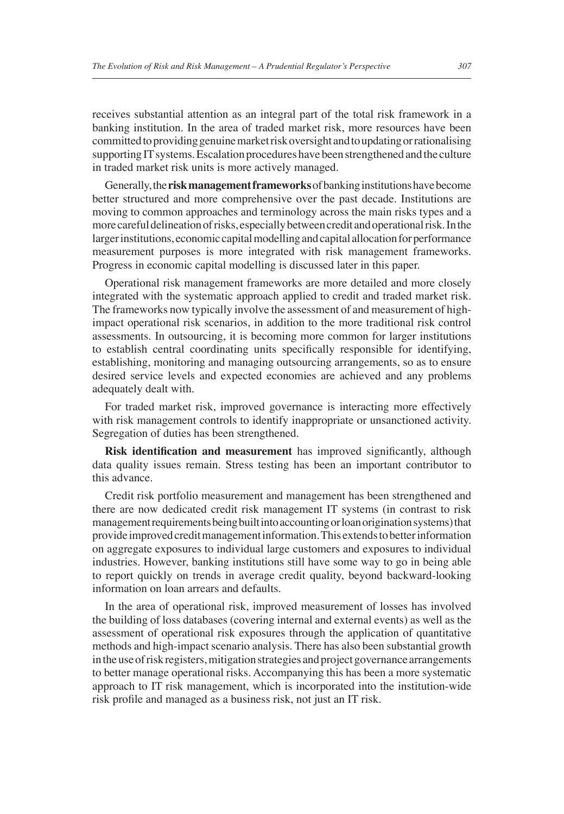receives substantial attention as an integral part of the total risk framework in a banking institution. In the area of traded market risk, more resources have been committed to providing genuine market risk oversight and to updating or rationalising supporting IT systems. Escalation procedures have been strengthened and the culture in traded market risk units is more actively managed.

Generally, the **risk management frameworks** of banking institutions have become better structured and more comprehensive over the past decade. Institutions are moving to common approaches and terminology across the main risks types and a more careful delineation of risks, especially between credit and operational risk. In the larger institutions, economic capital modelling and capital allocation for performance measurement purposes is more integrated with risk management frameworks. Progress in economic capital modelling is discussed later in this paper.

Operational risk management frameworks are more detailed and more closely integrated with the systematic approach applied to credit and traded market risk. The frameworks now typically involve the assessment of and measurement of highimpact operational risk scenarios, in addition to the more traditional risk control assessments. In outsourcing, it is becoming more common for larger institutions to establish central coordinating units specifically responsible for identifying, establishing, monitoring and managing outsourcing arrangements, so as to ensure desired service levels and expected economies are achieved and any problems adequately dealt with.

For traded market risk, improved governance is interacting more effectively with risk management controls to identify inappropriate or unsanctioned activity. Segregation of duties has been strengthened.

**Risk identification and measurement** has improved significantly, although data quality issues remain. Stress testing has been an important contributor to this advance.

Credit risk portfolio measurement and management has been strengthened and there are now dedicated credit risk management IT systems (in contrast to risk management requirements being built into accounting or loan origination systems) that provide improved credit management information. This extends to better information on aggregate exposures to individual large customers and exposures to individual industries. However, banking institutions still have some way to go in being able to report quickly on trends in average credit quality, beyond backward-looking information on loan arrears and defaults.

In the area of operational risk, improved measurement of losses has involved the building of loss databases (covering internal and external events) as well as the assessment of operational risk exposures through the application of quantitative methods and high-impact scenario analysis. There has also been substantial growth in the use of risk registers, mitigation strategies and project governance arrangements to better manage operational risks. Accompanying this has been a more systematic approach to IT risk management, which is incorporated into the institution-wide risk profile and managed as a business risk, not just an IT risk.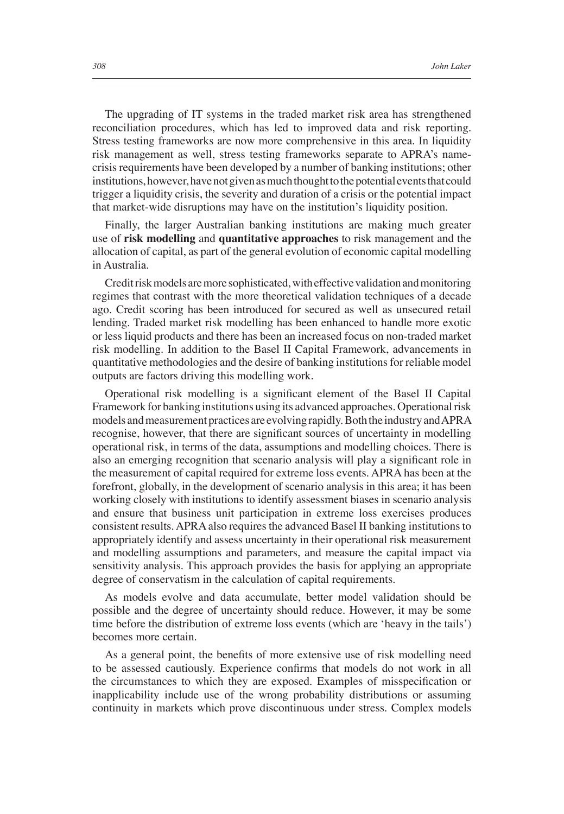The upgrading of IT systems in the traded market risk area has strengthened reconciliation procedures, which has led to improved data and risk reporting. Stress testing frameworks are now more comprehensive in this area. In liquidity risk management as well, stress testing frameworks separate to APRA's namecrisis requirements have been developed by a number of banking institutions; other institutions, however, have not given as much thought to the potential events that could trigger a liquidity crisis, the severity and duration of a crisis or the potential impact that market-wide disruptions may have on the institution's liquidity position.

Finally, the larger Australian banking institutions are making much greater use of **risk modelling** and **quantitative approaches** to risk management and the allocation of capital, as part of the general evolution of economic capital modelling in Australia.

Credit risk models are more sophisticated, with effective validation and monitoring regimes that contrast with the more theoretical validation techniques of a decade ago. Credit scoring has been introduced for secured as well as unsecured retail lending. Traded market risk modelling has been enhanced to handle more exotic or less liquid products and there has been an increased focus on non-traded market risk modelling. In addition to the Basel II Capital Framework, advancements in quantitative methodologies and the desire of banking institutions for reliable model outputs are factors driving this modelling work.

Operational risk modelling is a significant element of the Basel II Capital Framework for banking institutions using its advanced approaches. Operational risk models and measurement practices are evolving rapidly. Both the industry and APRA recognise, however, that there are significant sources of uncertainty in modelling operational risk, in terms of the data, assumptions and modelling choices. There is also an emerging recognition that scenario analysis will play a significant role in the measurement of capital required for extreme loss events. APRA has been at the forefront, globally, in the development of scenario analysis in this area; it has been working closely with institutions to identify assessment biases in scenario analysis and ensure that business unit participation in extreme loss exercises produces consistent results. APRA also requires the advanced Basel II banking institutions to appropriately identify and assess uncertainty in their operational risk measurement and modelling assumptions and parameters, and measure the capital impact via sensitivity analysis. This approach provides the basis for applying an appropriate degree of conservatism in the calculation of capital requirements.

As models evolve and data accumulate, better model validation should be possible and the degree of uncertainty should reduce. However, it may be some time before the distribution of extreme loss events (which are 'heavy in the tails') becomes more certain.

As a general point, the benefits of more extensive use of risk modelling need to be assessed cautiously. Experience confirms that models do not work in all the circumstances to which they are exposed. Examples of misspecification or inapplicability include use of the wrong probability distributions or assuming continuity in markets which prove discontinuous under stress. Complex models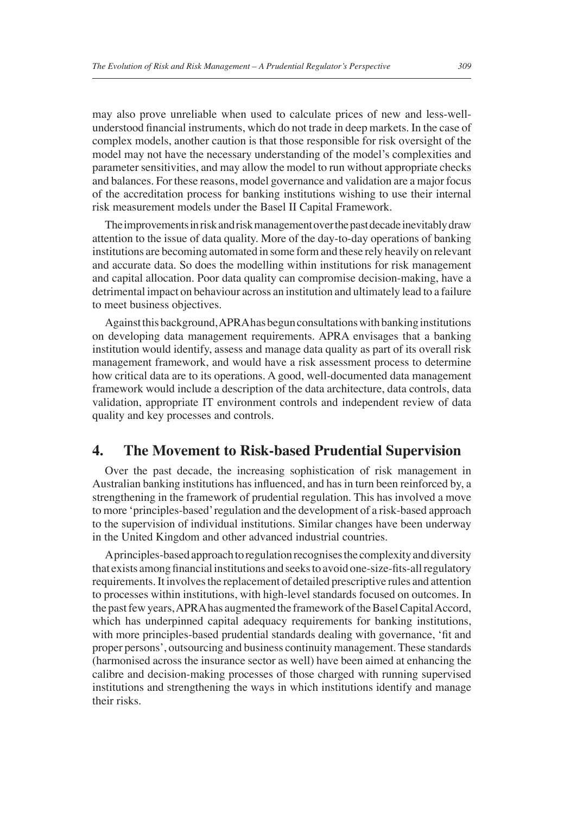may also prove unreliable when used to calculate prices of new and less-wellunderstood financial instruments, which do not trade in deep markets. In the case of complex models, another caution is that those responsible for risk oversight of the model may not have the necessary understanding of the model's complexities and parameter sensitivities, and may allow the model to run without appropriate checks and balances. For these reasons, model governance and validation are a major focus of the accreditation process for banking institutions wishing to use their internal risk measurement models under the Basel II Capital Framework.

The improvements in risk and risk management over the past decade inevitably draw attention to the issue of data quality. More of the day-to-day operations of banking institutions are becoming automated in some form and these rely heavily on relevant and accurate data. So does the modelling within institutions for risk management and capital allocation. Poor data quality can compromise decision-making, have a detrimental impact on behaviour across an institution and ultimately lead to a failure to meet business objectives.

Against this background, APRA has begun consultations with banking institutions on developing data management requirements. APRA envisages that a banking institution would identify, assess and manage data quality as part of its overall risk management framework, and would have a risk assessment process to determine how critical data are to its operations. A good, well-documented data management framework would include a description of the data architecture, data controls, data validation, appropriate IT environment controls and independent review of data quality and key processes and controls.

## **4. The Movement to Risk-based Prudential Supervision**

Over the past decade, the increasing sophistication of risk management in Australian banking institutions has influenced, and has in turn been reinforced by, a strengthening in the framework of prudential regulation. This has involved a move to more 'principles-based' regulation and the development of a risk-based approach to the supervision of individual institutions. Similar changes have been underway in the United Kingdom and other advanced industrial countries.

A principles-based approach to regulation recognises the complexity and diversity that exists among financial institutions and seeks to avoid one-size-fits-all regulatory requirements. It involves the replacement of detailed prescriptive rules and attention to processes within institutions, with high-level standards focused on outcomes. In the past few years, APRA has augmented the framework of the Basel Capital Accord, which has underpinned capital adequacy requirements for banking institutions, with more principles-based prudential standards dealing with governance, 'fit and proper persons', outsourcing and business continuity management. These standards (harmonised across the insurance sector as well) have been aimed at enhancing the calibre and decision-making processes of those charged with running supervised institutions and strengthening the ways in which institutions identify and manage their risks.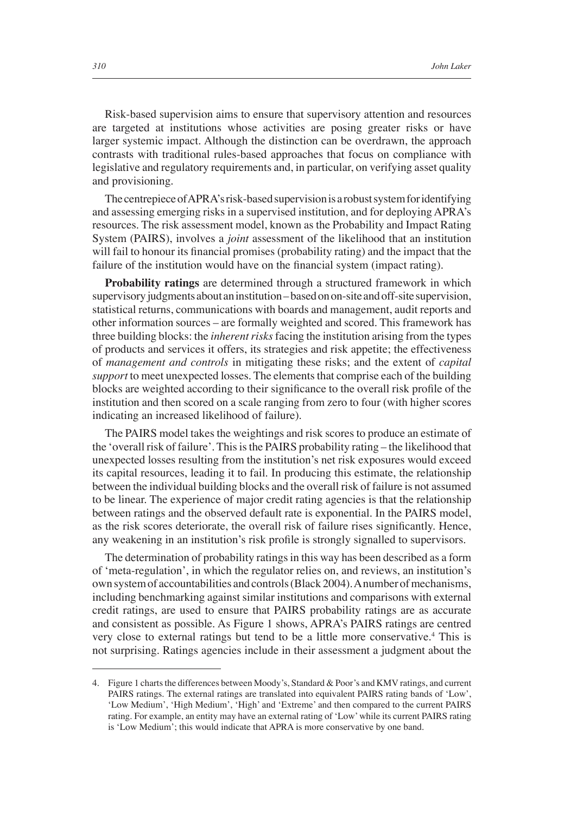Risk-based supervision aims to ensure that supervisory attention and resources are targeted at institutions whose activities are posing greater risks or have larger systemic impact. Although the distinction can be overdrawn, the approach contrasts with traditional rules-based approaches that focus on compliance with legislative and regulatory requirements and, in particular, on verifying asset quality and provisioning.

The centrepiece of APRA's risk-based supervision is a robust system for identifying and assessing emerging risks in a supervised institution, and for deploying APRA's resources. The risk assessment model, known as the Probability and Impact Rating System (PAIRS), involves a *joint* assessment of the likelihood that an institution will fail to honour its financial promises (probability rating) and the impact that the failure of the institution would have on the financial system (impact rating).

**Probability ratings** are determined through a structured framework in which supervisory judgments about an institution – based on on-site and off-site supervision, statistical returns, communications with boards and management, audit reports and other information sources – are formally weighted and scored. This framework has three building blocks: the *inherent risks* facing the institution arising from the types of products and services it offers, its strategies and risk appetite; the effectiveness of *management and controls* in mitigating these risks; and the extent of *capital support* to meet unexpected losses. The elements that comprise each of the building blocks are weighted according to their significance to the overall risk profile of the institution and then scored on a scale ranging from zero to four (with higher scores indicating an increased likelihood of failure).

The PAIRS model takes the weightings and risk scores to produce an estimate of the 'overall risk of failure'. This is the PAIRS probability rating – the likelihood that unexpected losses resulting from the institution's net risk exposures would exceed its capital resources, leading it to fail. In producing this estimate, the relationship between the individual building blocks and the overall risk of failure is not assumed to be linear. The experience of major credit rating agencies is that the relationship between ratings and the observed default rate is exponential. In the PAIRS model, as the risk scores deteriorate, the overall risk of failure rises significantly. Hence, any weakening in an institution's risk profile is strongly signalled to supervisors.

The determination of probability ratings in this way has been described as a form of 'meta-regulation', in which the regulator relies on, and reviews, an institution's own system of accountabilities and controls (Black 2004). A number of mechanisms, including benchmarking against similar institutions and comparisons with external credit ratings, are used to ensure that PAIRS probability ratings are as accurate and consistent as possible. As Figure 1 shows, APRA's PAIRS ratings are centred very close to external ratings but tend to be a little more conservative.<sup>4</sup> This is not surprising. Ratings agencies include in their assessment a judgment about the

<sup>4.</sup> Figure 1 charts the differences between Moody's, Standard & Poor's and KMV ratings, and current PAIRS ratings. The external ratings are translated into equivalent PAIRS rating bands of 'Low', 'Low Medium', 'High Medium', 'High' and 'Extreme' and then compared to the current PAIRS rating. For example, an entity may have an external rating of 'Low' while its current PAIRS rating is 'Low Medium'; this would indicate that APRA is more conservative by one band.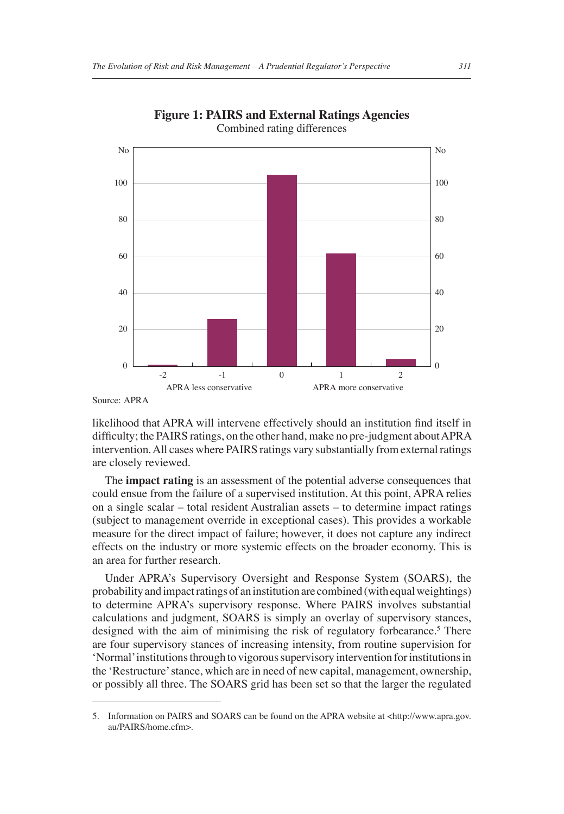

**Figure 1: PAIRS and External Ratings Agencies** Combined rating differences

Source: APRA

likelihood that APRA will intervene effectively should an institution find itself in difficulty; the PAIRS ratings, on the other hand, make no pre-judgment about APRA intervention. All cases where PAIRS ratings vary substantially from external ratings are closely reviewed.

The **impact rating** is an assessment of the potential adverse consequences that could ensue from the failure of a supervised institution. At this point, APRA relies on a single scalar – total resident Australian assets – to determine impact ratings (subject to management override in exceptional cases). This provides a workable measure for the direct impact of failure; however, it does not capture any indirect effects on the industry or more systemic effects on the broader economy. This is an area for further research.

Under APRA's Supervisory Oversight and Response System (SOARS), the probability and impact ratings of an institution are combined (with equal weightings) to determine APRA's supervisory response. Where PAIRS involves substantial calculations and judgment, SOARS is simply an overlay of supervisory stances, designed with the aim of minimising the risk of regulatory forbearance.<sup>5</sup> There are four supervisory stances of increasing intensity, from routine supervision for 'Normal' institutions through to vigorous supervisory intervention for institutions in the 'Restructure' stance, which are in need of new capital, management, ownership, or possibly all three. The SOARS grid has been set so that the larger the regulated

<sup>5.</sup> Information on PAIRS and SOARS can be found on the APRA website at <http://www.apra.gov. au/PAIRS/home.cfm>.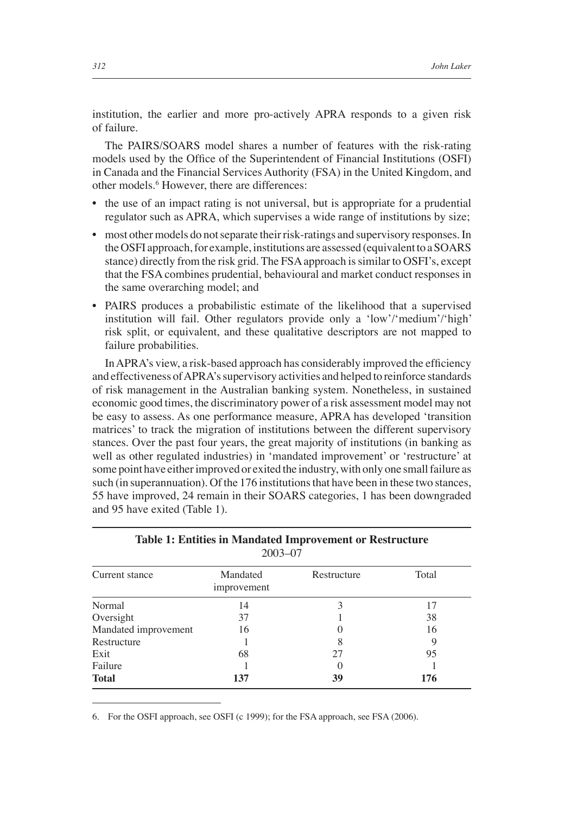institution, the earlier and more pro-actively APRA responds to a given risk of failure.

The PAIRS/SOARS model shares a number of features with the risk-rating models used by the Office of the Superintendent of Financial Institutions (OSFI) in Canada and the Financial Services Authority (FSA) in the United Kingdom, and other models.<sup>6</sup> However, there are differences:

- the use of an impact rating is not universal, but is appropriate for a prudential regulator such as APRA, which supervises a wide range of institutions by size;
- most other models do not separate their risk-ratings and supervisory responses. In the OSFI approach, for example, institutions are assessed (equivalent to a SOARS stance) directly from the risk grid. The FSA approach is similar to OSFI's, except that the FSA combines prudential, behavioural and market conduct responses in the same overarching model; and
- PAIRS produces a probabilistic estimate of the likelihood that a supervised institution will fail. Other regulators provide only a 'low'/'medium'/'high' risk split, or equivalent, and these qualitative descriptors are not mapped to failure probabilities.

In APRA's view, a risk-based approach has considerably improved the efficiency and effectiveness of APRA's supervisory activities and helped to reinforce standards of risk management in the Australian banking system. Nonetheless, in sustained economic good times, the discriminatory power of a risk assessment model may not be easy to assess. As one performance measure, APRA has developed 'transition matrices' to track the migration of institutions between the different supervisory stances. Over the past four years, the great majority of institutions (in banking as well as other regulated industries) in 'mandated improvement' or 'restructure' at some point have either improved or exited the industry, with only one small failure as such (in superannuation). Of the 176 institutions that have been in these two stances, 55 have improved, 24 remain in their SOARS categories, 1 has been downgraded and 95 have exited (Table 1).

| Current stance       | Mandated<br>improvement | Restructure | Total |  |
|----------------------|-------------------------|-------------|-------|--|
| Normal               | 14                      |             |       |  |
| Oversight            | 37                      |             | 38    |  |
| Mandated improvement | 16                      |             | 16    |  |
| Restructure          |                         |             |       |  |
| Exit                 | 68                      | 27          | 95    |  |
| Failure              |                         |             |       |  |
| Total                | 137                     | 39          | 176   |  |

#### **Table 1: Entities in Mandated Improvement or Restructure** 2003–07

6. For the OSFI approach, see OSFI (c 1999); for the FSA approach, see FSA (2006).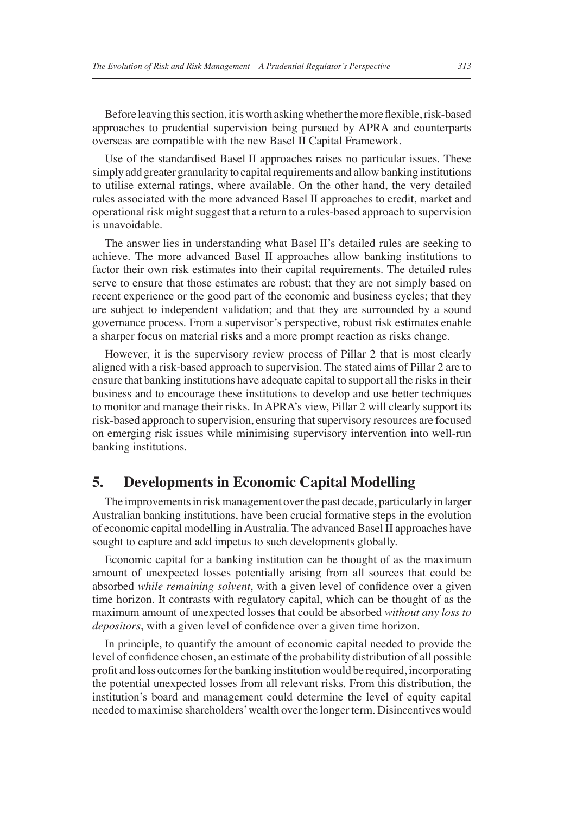Before leaving this section, it is worth asking whether the more flexible, risk-based approaches to prudential supervision being pursued by APRA and counterparts overseas are compatible with the new Basel II Capital Framework.

Use of the standardised Basel II approaches raises no particular issues. These simply add greater granularity to capital requirements and allow banking institutions to utilise external ratings, where available. On the other hand, the very detailed rules associated with the more advanced Basel II approaches to credit, market and operational risk might suggest that a return to a rules-based approach to supervision is unavoidable.

The answer lies in understanding what Basel II's detailed rules are seeking to achieve. The more advanced Basel II approaches allow banking institutions to factor their own risk estimates into their capital requirements. The detailed rules serve to ensure that those estimates are robust; that they are not simply based on recent experience or the good part of the economic and business cycles; that they are subject to independent validation; and that they are surrounded by a sound governance process. From a supervisor's perspective, robust risk estimates enable a sharper focus on material risks and a more prompt reaction as risks change.

However, it is the supervisory review process of Pillar 2 that is most clearly aligned with a risk-based approach to supervision. The stated aims of Pillar 2 are to ensure that banking institutions have adequate capital to support all the risks in their business and to encourage these institutions to develop and use better techniques to monitor and manage their risks. In APRA's view, Pillar 2 will clearly support its risk-based approach to supervision, ensuring that supervisory resources are focused on emerging risk issues while minimising supervisory intervention into well-run banking institutions.

# **5. Developments in Economic Capital Modelling**

The improvements in risk management over the past decade, particularly in larger Australian banking institutions, have been crucial formative steps in the evolution of economic capital modelling in Australia. The advanced Basel II approaches have sought to capture and add impetus to such developments globally.

Economic capital for a banking institution can be thought of as the maximum amount of unexpected losses potentially arising from all sources that could be absorbed *while remaining solvent*, with a given level of confidence over a given time horizon. It contrasts with regulatory capital, which can be thought of as the maximum amount of unexpected losses that could be absorbed *without any loss to depositors*, with a given level of confidence over a given time horizon.

In principle, to quantify the amount of economic capital needed to provide the level of confidence chosen, an estimate of the probability distribution of all possible profi t and loss outcomes for the banking institution would be required, incorporating the potential unexpected losses from all relevant risks. From this distribution, the institution's board and management could determine the level of equity capital needed to maximise shareholders' wealth over the longer term. Disincentives would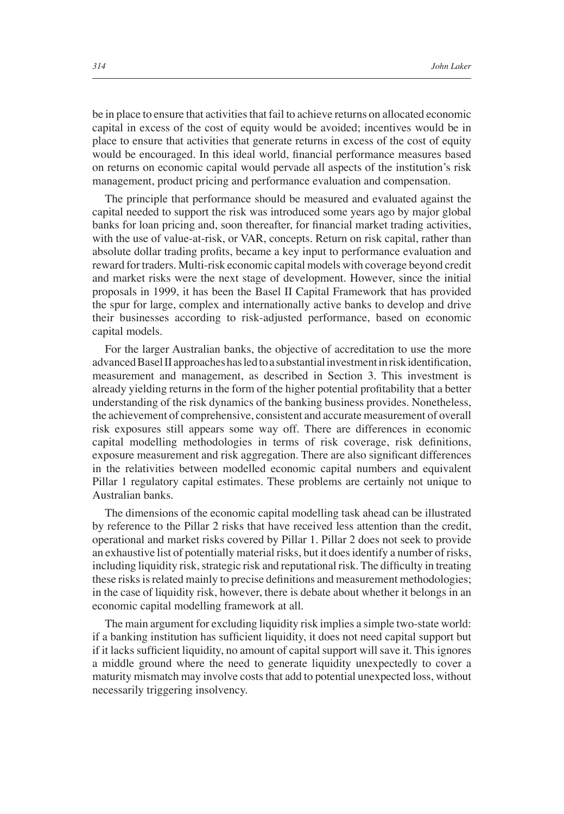be in place to ensure that activities that fail to achieve returns on allocated economic capital in excess of the cost of equity would be avoided; incentives would be in place to ensure that activities that generate returns in excess of the cost of equity would be encouraged. In this ideal world, financial performance measures based on returns on economic capital would pervade all aspects of the institution's risk management, product pricing and performance evaluation and compensation.

The principle that performance should be measured and evaluated against the capital needed to support the risk was introduced some years ago by major global banks for loan pricing and, soon thereafter, for financial market trading activities, with the use of value-at-risk, or VAR, concepts. Return on risk capital, rather than absolute dollar trading profits, became a key input to performance evaluation and reward for traders. Multi-risk economic capital models with coverage beyond credit and market risks were the next stage of development. However, since the initial proposals in 1999, it has been the Basel II Capital Framework that has provided the spur for large, complex and internationally active banks to develop and drive their businesses according to risk-adjusted performance, based on economic capital models.

For the larger Australian banks, the objective of accreditation to use the more advanced Basel II approaches has led to a substantial investment in risk identification, measurement and management, as described in Section 3. This investment is already yielding returns in the form of the higher potential profitability that a better understanding of the risk dynamics of the banking business provides. Nonetheless, the achievement of comprehensive, consistent and accurate measurement of overall risk exposures still appears some way off. There are differences in economic capital modelling methodologies in terms of risk coverage, risk definitions, exposure measurement and risk aggregation. There are also significant differences in the relativities between modelled economic capital numbers and equivalent Pillar 1 regulatory capital estimates. These problems are certainly not unique to Australian banks.

The dimensions of the economic capital modelling task ahead can be illustrated by reference to the Pillar 2 risks that have received less attention than the credit, operational and market risks covered by Pillar 1. Pillar 2 does not seek to provide an exhaustive list of potentially material risks, but it does identify a number of risks, including liquidity risk, strategic risk and reputational risk. The difficulty in treating these risks is related mainly to precise definitions and measurement methodologies; in the case of liquidity risk, however, there is debate about whether it belongs in an economic capital modelling framework at all.

The main argument for excluding liquidity risk implies a simple two-state world: if a banking institution has sufficient liquidity, it does not need capital support but if it lacks sufficient liquidity, no amount of capital support will save it. This ignores a middle ground where the need to generate liquidity unexpectedly to cover a maturity mismatch may involve costs that add to potential unexpected loss, without necessarily triggering insolvency.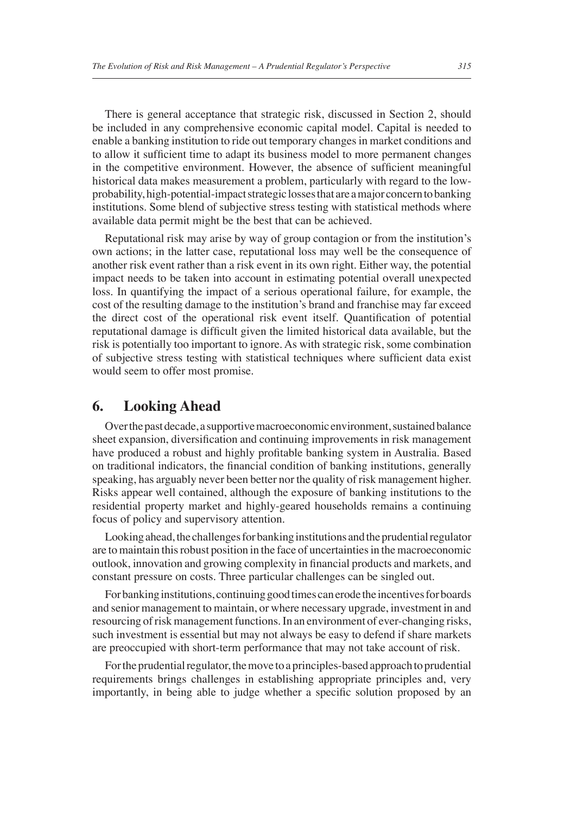There is general acceptance that strategic risk, discussed in Section 2, should be included in any comprehensive economic capital model. Capital is needed to enable a banking institution to ride out temporary changes in market conditions and to allow it sufficient time to adapt its business model to more permanent changes in the competitive environment. However, the absence of sufficient meaningful historical data makes measurement a problem, particularly with regard to the lowprobability, high-potential-impact strategic losses that are a major concern to banking institutions. Some blend of subjective stress testing with statistical methods where available data permit might be the best that can be achieved.

Reputational risk may arise by way of group contagion or from the institution's own actions; in the latter case, reputational loss may well be the consequence of another risk event rather than a risk event in its own right. Either way, the potential impact needs to be taken into account in estimating potential overall unexpected loss. In quantifying the impact of a serious operational failure, for example, the cost of the resulting damage to the institution's brand and franchise may far exceed the direct cost of the operational risk event itself. Quantification of potential reputational damage is difficult given the limited historical data available, but the risk is potentially too important to ignore. As with strategic risk, some combination of subjective stress testing with statistical techniques where sufficient data exist would seem to offer most promise.

## **6. Looking Ahead**

Over the past decade, a supportive macroeconomic environment, sustained balance sheet expansion, diversification and continuing improvements in risk management have produced a robust and highly profitable banking system in Australia. Based on traditional indicators, the financial condition of banking institutions, generally speaking, has arguably never been better nor the quality of risk management higher. Risks appear well contained, although the exposure of banking institutions to the residential property market and highly-geared households remains a continuing focus of policy and supervisory attention.

Looking ahead, the challenges for banking institutions and the prudential regulator are to maintain this robust position in the face of uncertainties in the macroeconomic outlook, innovation and growing complexity in financial products and markets, and constant pressure on costs. Three particular challenges can be singled out.

For banking institutions, continuing good times can erode the incentives for boards and senior management to maintain, or where necessary upgrade, investment in and resourcing of risk management functions. In an environment of ever-changing risks, such investment is essential but may not always be easy to defend if share markets are preoccupied with short-term performance that may not take account of risk.

For the prudential regulator, the move to a principles-based approach to prudential requirements brings challenges in establishing appropriate principles and, very importantly, in being able to judge whether a specific solution proposed by an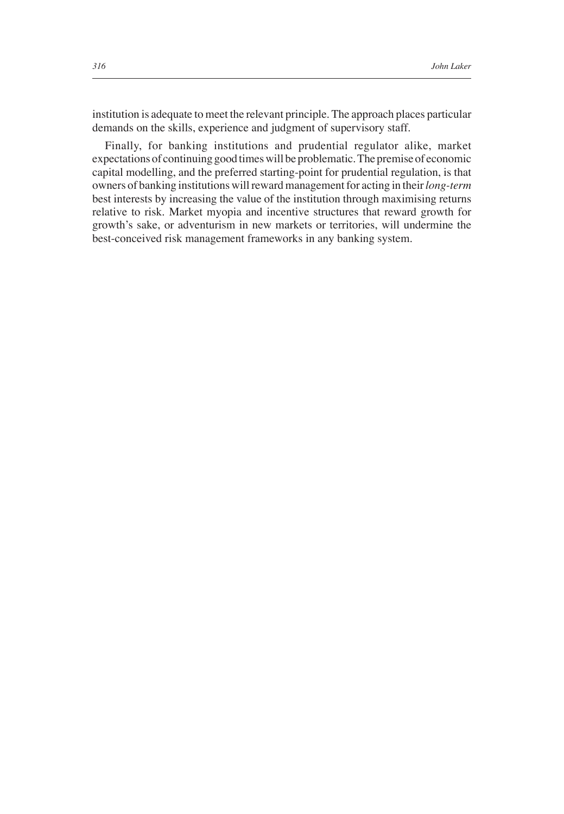institution is adequate to meet the relevant principle. The approach places particular demands on the skills, experience and judgment of supervisory staff.

Finally, for banking institutions and prudential regulator alike, market expectations of continuing good times will be problematic. The premise of economic capital modelling, and the preferred starting-point for prudential regulation, is that owners of banking institutions will reward management for acting in their *long-term* best interests by increasing the value of the institution through maximising returns relative to risk. Market myopia and incentive structures that reward growth for growth's sake, or adventurism in new markets or territories, will undermine the best-conceived risk management frameworks in any banking system.